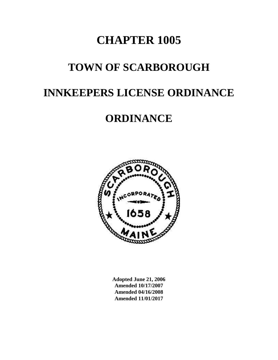# **CHAPTER 1005**

# **TOWN OF SCARBOROUGH**

# **INNKEEPERS LICENSE ORDINANCE**

## **ORDINANCE**



**Adopted June 21, 2006 Amended 10/17/2007 Amended 04/16/2008 Amended 11/01/2017**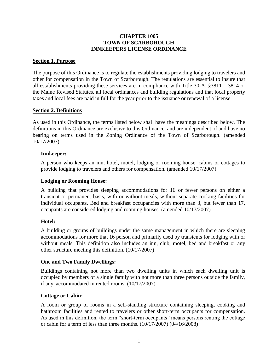#### **CHAPTER 1005 TOWN OF SCARBOROUGH INNKEEPERS LICENSE ORDINANCE**

#### <span id="page-2-0"></span>**Section 1. Purpose**

The purpose of this Ordinance is to regulate the establishments providing lodging to travelers and other for compensation in the Town of Scarborough. The regulations are essential to insure that all establishments providing these services are in compliance with Title 30-A, §3811 – 3814 or the Maine Revised Statutes, all local ordinances and building regulations and that local property taxes and local fees are paid in full for the year prior to the issuance or renewal of a license.

#### <span id="page-2-1"></span>**Section 2. Definitions**

As used in this Ordinance, the terms listed below shall have the meanings described below. The definitions in this Ordinance are exclusive to this Ordinance, and are independent of and have no bearing on terms used in the Zoning Ordinance of the Town of Scarborough. (amended 10/17/2007)

#### <span id="page-2-2"></span>**Innkeeper:**

A person who keeps an inn, hotel, motel, lodging or rooming house, cabins or cottages to provide lodging to travelers and others for compensation. (amended 10/17/2007)

#### <span id="page-2-3"></span>**Lodging or Rooming House:**

A building that provides sleeping accommodations for 16 or fewer persons on either a transient or permanent basis, with or without meals, without separate cooking facilities for individual occupants. Bed and breakfast occupancies with more than 3, but fewer than 17, occupants are considered lodging and rooming houses. (amended 10/17/2007)

#### <span id="page-2-4"></span>**Hotel:**

A building or groups of buildings under the same management in which there are sleeping accommodations for more that 16 person and primarily used by transients for lodging with or without meals. This definition also includes an inn, club, motel, bed and breakfast or any other structure meeting this definition. (10/17/2007)

#### <span id="page-2-5"></span>**One and Two Family Dwellings:**

Buildings containing not more than two dwelling units in which each dwelling unit is occupied by members of a single family with not more than three persons outside the family, if any, accommodated in rented rooms. (10/17/2007)

#### <span id="page-2-6"></span>**Cottage or Cabin:**

A room or group of rooms in a self-standing structure containing sleeping, cooking and bathroom facilities and rented to travelers or other short-term occupants for compensation. As used in this definition, the term "short-term occupants" means persons renting the cottage or cabin for a term of less than three months. (10/17/2007) (04/16/2008)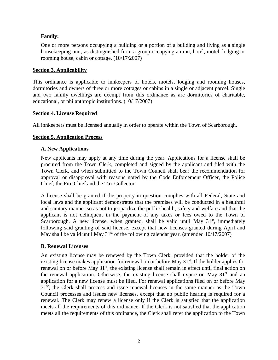#### <span id="page-3-0"></span>**Family:**

One or more persons occupying a building or a portion of a building and living as a single housekeeping unit, as distinguished from a group occupying an inn, hotel, motel, lodging or rooming house, cabin or cottage. (10/17/2007)

#### <span id="page-3-1"></span>**Section 3. Applicability**

This ordinance is applicable to innkeepers of hotels, motels, lodging and rooming houses, dormitories and owners of three or more cottages or cabins in a single or adjacent parcel. Single and two family dwellings are exempt from this ordinance as are dormitories of charitable, educational, or philanthropic institutions. (10/17/2007)

#### <span id="page-3-2"></span>**Section 4. License Required**

All innkeepers must be licensed annually in order to operate within the Town of Scarborough.

#### <span id="page-3-3"></span>**Section 5. Application Process**

#### <span id="page-3-4"></span>**A. New Applications**

New applicants may apply at any time during the year. Applications for a license shall be procured from the Town Clerk, completed and signed by the applicant and filed with the Town Clerk, and when submitted to the Town Council shall bear the recommendation for approval or disapproval with reasons noted by the Code Enforcement Officer, the Police Chief, the Fire Chief and the Tax Collector.

A license shall be granted if the property in question complies with all Federal, State and local laws and the applicant demonstrates that the premises will be conducted in a healthful and sanitary manner so as not to jeopardize the public health, safety and welfare and that the applicant is not delinquent in the payment of any taxes or fees owed to the Town of Scarborough. A new license, when granted, shall be valid until May  $31<sup>st</sup>$ , immediately following said granting of said license, except that new licenses granted during April and May shall be valid until May  $31<sup>st</sup>$  of the following calendar year. (amended  $10/17/2007$ )

#### <span id="page-3-5"></span>**B. Renewal Licenses**

An existing license may be renewed by the Town Clerk, provided that the holder of the existing license makes application for renewal on or before May 31<sup>st</sup>. If the holder applies for renewal on or before May  $31<sup>st</sup>$ , the existing license shall remain in effect until final action on the renewal application. Otherwise, the existing license shall expire on May  $31<sup>st</sup>$  and an application for a new license must be filed. For renewal applications filed on or before May 31<sup>st</sup>, the Clerk shall process and issue renewal licenses in the same manner as the Town Council processes and issues new licenses, except that no public hearing is required for a renewal. The Clerk may renew a license only if the Clerk is satisfied that the application meets all the requirements of this ordinance. If the Clerk is not satisfied that the application meets all the requirements of this ordinance, the Clerk shall refer the application to the Town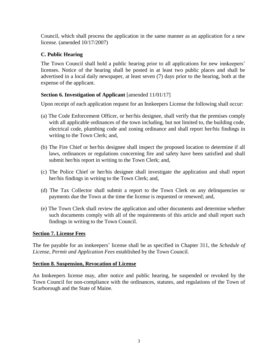Council, which shall process the application in the same manner as an application for a new license. (amended 10/17/2007)

### <span id="page-4-0"></span>**C. Public Hearing**

The Town Council shall hold a public hearing prior to all applications for new innkeepers' licenses. Notice of the hearing shall be posted in at least two public places and shall be advertised in a local daily newspaper, at least seven (7) days prior to the hearing, both at the expense of the applicant.

### <span id="page-4-1"></span>**Section 6. Investigation of Applicant** [amended 11/01/17]

Upon receipt of each application request for an Innkeepers License the following shall occur:

- (a) The Code Enforcement Officer, or her/his designee, shall verify that the premises comply with all applicable ordinances of the town including, but not limited to, the building code, electrical code, plumbing code and zoning ordinance and shall report her/his findings in writing to the Town Clerk; and,
- (b) The Fire Chief or her/his designee shall inspect the proposed location to determine if all laws, ordinances or regulations concerning fire and safety have been satisfied and shall submit her/his report in writing to the Town Clerk; and,
- (c) The Police Chief or her/his designee shall investigate the application and shall report her/his findings in writing to the Town Clerk; and,
- (d) The Tax Collector shall submit a report to the Town Clerk on any delinquencies or payments due the Town at the time the license is requested or renewed; and,
- (e) The Town Clerk shall review the application and other documents and determine whether such documents comply with all of the requirements of this article and shall report such findings in writing to the Town Council.

#### <span id="page-4-2"></span>**Section 7. License Fees**

The fee payable for an innkeepers' license shall be as specified in Chapter 311, the *Schedule of License, Permit and Application Fees* established by the Town Council.

#### <span id="page-4-3"></span>**Section 8. Suspension, Revocation of License**

An Innkeepers license may, after notice and public hearing, be suspended or revoked by the Town Council for non-compliance with the ordinances, statutes, and regulations of the Town of Scarborough and the State of Maine.